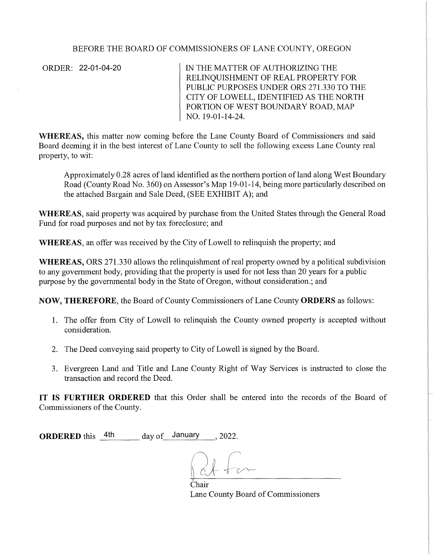# BEFORE THE BOARD OF COMMISSIONERS OF LANE COUNTY, OREGON

ORDER: 22-01-04-20

IN THE MATTER OF AUTHORIZING THE RELINQUISHMENT OF REAL PROPERTY FOR PUBLIC PURPOSES UNDER ORS 271.330 TO THE CITY OF LOWELL, IDENTIFIED AS THE NORTH PORTION OF WEST BOUNDARY ROAD, MAP NO. 19-01-14-24.

WHEREAS, this matter now coming before the Lane County Board of Commissioners and said Board deeming it in the best interest of Lane County to sell the following excess Lane County real property, to wit:

Approximately 0.28 acres of land identified as the northern portion of land along West Boundary Road (County Road No. 360) on Assessor's Map 19-01-14, being more particularly described on the attached Bargain and Sale Deed, (SEE EXHIBIT A); and

**WHEREAS,** said property was acquired by purchase from the United States through the General Road Fund for road purposes and not by tax foreclosure; and

**WHEREAS,** an offer was received by the City of Lowell to relinquish the property; and

**WHEREAS,** ORS 271.330 allows the relinquishment of real property owned by a political subdivision to any government body, providing that the property is used for not less than 20 years for a public purpose by the governmental body in the State of Oregon, without consideration.; and

**NOW, THEREFORE,** the Board of County Commissioners of Lane County **ORDERS** as follows:

- 1. The offer from City of Lowell to relinquish the County owned property is accepted without consideration.
- 2. The Deed conveying said property to City of Lowell is signed by the Board.
- 3. Evergreen Land and Title and Lane County Right of Way Services is instructed to close the transaction and record the Deed.

**IT IS FURTHER ORDERED** that this Order shall be entered into the records of the Board of Commissioners of the County.

**ORDERED** this 4th day of January , 2022. day of January

Chair Lane County Board of Commissioners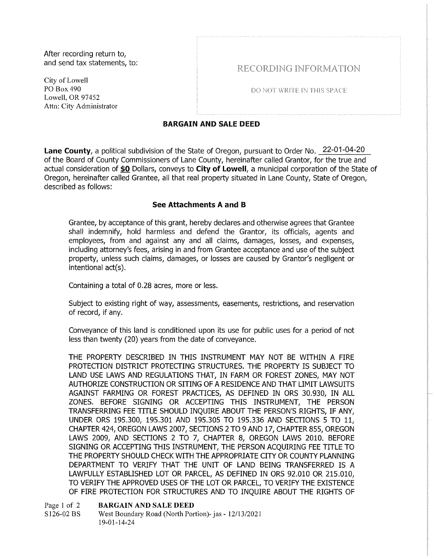After recording return to, and send tax statements, to:

City of Lowell PO Box490 Lowell, OR 97452 Attn: City Administrator RECORDING INFORMATION

DO NOT WRITE IN THIS SPACF

## BARGAIN AND SALE DEED

Lane County, a political subdivision of the State of Oregon, pursuant to Order No. 22-01-04-20 of the Board of County Commissioners of Lane County, hereinafter called Grantor, for the true and actual consideration of \$0 Dollars, conveys to City of Lowell, a municipal corporation of the State of Oregon, hereinafter called Grantee, all that real property situated in Lane County, State of Oregon, described as follows:

## See Attachments A and B

Grantee, by acceptance of this grant, hereby declares and otherwise agrees that Grantee shall indemnify, hold harmless and defend the Grantor, its officials, agents and employees, from and against any and all claims, damages, losses, and expenses, including attorney's fees, arising in and from Grantee acceptance and use of the subject property, unless such claims, damages, or losses are caused by Grantor's negligent or intentional act(s).

Containing a total of 0.28 acres, more or less.

Subject to existing right of way, assessments, easements, restrictions, and reservation of record, if any.

Conveyance of this land is conditioned upon its use for public uses for a period of not less than twenty (20) years from the date of conveyance.

THE PROPERTY DESCRIBED IN THIS INSTRUMENT MAY NOT BE WITHIN A FIRE PROTECTION DISTRICT PROTECTING STRUCTURES. THE PROPERTY IS SUBJECT TO LAND USE LAWS AND REGULATIONS THAT, IN FARM OR FOREST ZONES, MAY NOT AUTHORIZE CONSTRUCTION OR SITING OF A RESIDENCE AND THAT LIMIT LAWSUITS AGAINST FARMING OR FOREST PRACTICES, AS DEFINED IN ORS 30.930, IN ALL ZONES. BEFORE SIGNING OR ACCEPTING THIS INSTRUMENT, THE PERSON TRANSFERRING FEE TITLE SHOULD INQUIRE ABOUT THE PERSON'S RIGHTS, IF ANY, UNDER ORS 195.300, 195.301 AND 195.305 TO 195.336 AND SECTIONS 5 TO 11, CHAPTER 424, OREGON LAWS 2007, SECTIONS 2 TO 9AND17, CHAPTER 855, OREGON LAWS 2009, AND SECTIONS 2 TO 7, CHAPTER 8, OREGON LAWS 2010. BEFORE SIGNING OR ACCEPTING THIS INSTRUMENT, THE PERSON ACQUIRING FEE TITLE TO THE PROPERTY SHOULD CHECK WITH THE APPROPRIATE CITY OR COUNTY PLANNING DEPARTMENT TO VERIFY THAT THE UNIT OF LAND BEING TRANSFERRED IS A LAWFULLY ESTABLISHED LOT OR PARCEL, AS DEFINED IN ORS 92.010 OR 215.010, TO VERIFY THE APPROVED USES OF THE LOT OR PARCEL, TO VERIFY THE EXISTENCE OF FIRE PROTECTION FOR STRUCTURES AND TO INQUIRE ABOUT THE RIGHTS OF

Page 1 of 2 Sl26-02 BS BARGAIN AND SALE DEED West Boundary Road (North Portion)- jas - 1211312021 19-01-14-24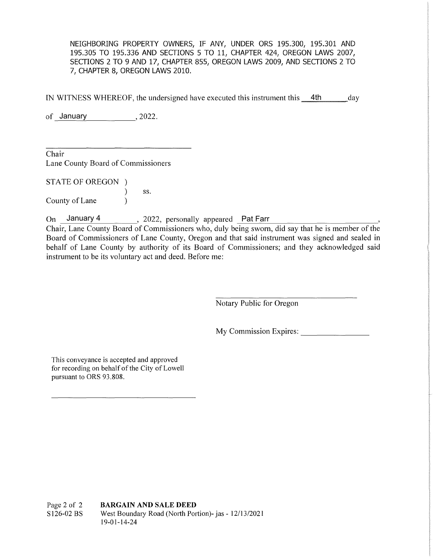NEIGHBORING PROPERTY OWNERS, IF ANY, UNDER ORS 195.300, 195.301 AND 195.305 TO 195.336 AND SECTIONS 5 TO 11, CHAPTER 424, OREGON LAWS 2007, SECTIONS 2 TO 9 AND 17, CHAPTER 855, OREGON LAWS 2009, AND SECTIONS 2 TO 7, CHAPTER 8, OREGON LAWS 2010.

IN WITNESS WHEREOF, the undersigned have executed this instrument this **4th** day

of <u>January , 2022.</u>

Chair Lane County Board of Commissioners

STATE OF OREGON ) ) ss.

County of Lane

On January 4 2022, personally appeared Pat Farr January 4 2022, personally appeared Pat Farr

Chair, Lane County Board of Commissioners who, duly being sworn, did say that he is member of the Board of Commissioners of Lane County, Oregon and that said instrument was signed and sealed in behalf of Lane County by authority of its Board of Commissioners; and they acknowledged said instrument to be its voluntary act and deed. Before me:

Notary Public for Oregon

My Commission Expires:

This conveyance is accepted and approved for recording on behalf of the City of Lowell pursuant to ORS 93.808.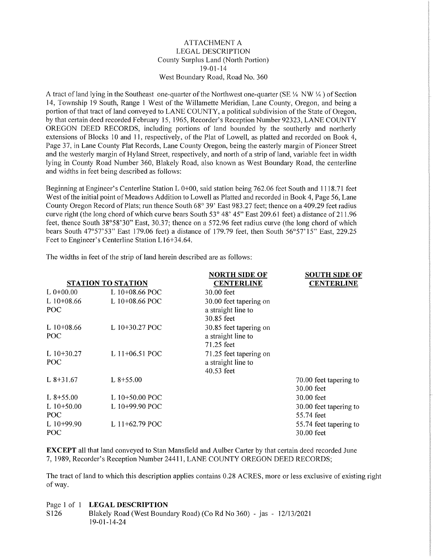### ATTACHMENT A LEGAL DESCRIPTION County Surplus Land (North Portion) 19-01-14 West Boundary Road, Road No. 360

A tract of land lying in the Southeast one-quarter of the Northwest one-quarter (SE  $\frac{1}{4}$  NW  $\frac{1}{4}$ ) of Section 14, Township 19 South, Range 1 West of the Willamette Meridian, Lane County, Oregon, and being a portion of that tract of land conveyed to LANE COUNTY, a political subdivision of the State of Oregon, by that certain deed recorded February 15, 1965, Recorder's Reception Number 92323, LANE COUNTY OREGON DEED RECORDS, including portions of land bounded by the southerly and northerly extensions of Blocks 10 and 11, respectively, of the Plat of Lowell, as platted and recorded on Book 4, Page 37, in Lane County Plat Records, Lane County Oregon, being the easterly margin of Pioneer Street and the westerly margin of Hy land Street, respectively, and north of a strip of land, variable feet in width lying in County Road Number 360, Blakely Road, also known as West Boundary Road, the centerline and widths in feet being described as follows:

Beginning at Engineer's Centerline Station L 0+00, said station being 762.06 feet South and 1118. 71 feet West of the initial point of Meadows Addition to Lowell as Platted and recorded in Book 4, Page 56, Lane County Oregon Record of Plats; run thence South 68° 39' East 983.27 feet; thence on a 409.29 feet radius curve right (the long chord of which curve bears South 53° 48' 45" East 209.61 feet) a distance of 211.96 feet, thence South 38°58'30" East, 30.37; thence on a 572.96 feet radius curve (the long chord of which bears South 47°57'53" East 179.06 feet) a distance of 179.79 feet, then South 56°57'15" East, 229.25 Feet to Engineer's Centerline Station L16+34.64.

The widths in feet of the strip of land herein described are as follows:

|                           |                  | <b>NORTH SIDE OF</b>   | <b>SOUTH SIDE OF</b>   |
|---------------------------|------------------|------------------------|------------------------|
| <b>STATION TO STATION</b> |                  | <b>CENTERLINE</b>      | <b>CENTERLINE</b>      |
| $L 0+00.00$               | L 10+08.66 POC   | 30.00 feet             |                        |
| $L10+08.66$               | L 10+08.66 POC   | 30.00 feet tapering on |                        |
| POC                       |                  | a straight line to     |                        |
|                           |                  | 30.85 feet             |                        |
| L $10+08.66$              | L 10+30.27 POC   | 30.85 feet tapering on |                        |
| POC                       |                  | a straight line to     |                        |
|                           |                  | 71.25 feet             |                        |
| L $10+30.27$              | L $11+06.51$ POC | 71.25 feet tapering on |                        |
| POC                       |                  | a straight line to     |                        |
|                           |                  | 40.53 feet             |                        |
| L $8+31.67$               | $L8+55.00$       |                        | 70.00 feet tapering to |
|                           |                  |                        | 30.00 feet             |
| L $8+55.00$               | L 10+50.00 POC   |                        | 30.00 feet             |
| L $10+50.00$              | L 10+99.90 POC   |                        | 30.00 feet tapering to |
| POC.                      |                  |                        | 55.74 feet             |
| L $10+99.90$              | L $11+62.79$ POC |                        | 55.74 feet tapering to |
| <b>POC</b>                |                  |                        | 30.00 feet             |

**EXCEPT** all that land conveyed to Stan Mansfield and Aulber Carter by that certain deed recorded June 7, 1989, Recorder's Reception Number 24411, LANE COUNTY OREGON DEED RECORDS;

The tract of land to which this description applies contains 0.28 ACRES, more or less exclusive of existing right of way.

### Page I of **1 LEGAL DESCRIPTION**

Sl26 Blakely Road (West Boundary Road) (Co Rd No 360) - jas - 12/13/2021 19-01-14-24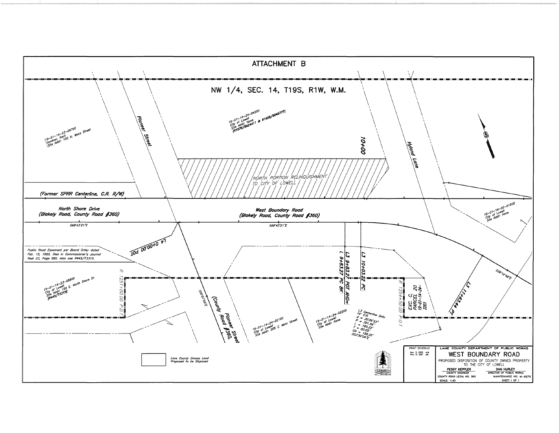